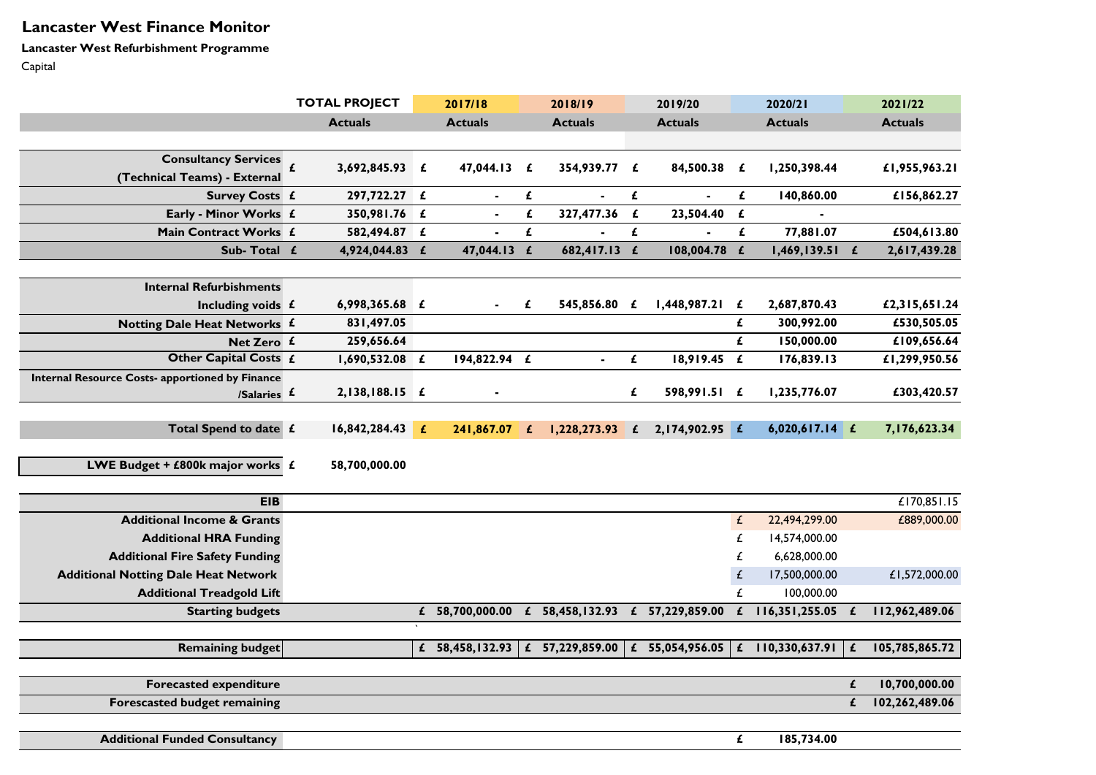# **Lancaster West Finance Monitor**

**Lancaster West Refurbishment Programme**

Capital

|                                                                       |                     | <b>TOTAL PROJECT</b> |   | 2017/18                         |              | 2018/19           |                    | 2019/20           |                    | 2020/21            |   | 2021/22        |
|-----------------------------------------------------------------------|---------------------|----------------------|---|---------------------------------|--------------|-------------------|--------------------|-------------------|--------------------|--------------------|---|----------------|
|                                                                       |                     | <b>Actuals</b>       |   | <b>Actuals</b>                  |              | <b>Actuals</b>    |                    | <b>Actuals</b>    |                    | <b>Actuals</b>     |   | <b>Actuals</b> |
|                                                                       |                     |                      |   |                                 |              |                   |                    |                   |                    |                    |   |                |
| <b>Consultancy Services</b><br>(Technical Teams) - External           | $\pmb{\mathcal{L}}$ | 3,692,845.93 £       |   | 47,044.13                       | £            | 354,939.77 £      |                    | 84,500.38         | £                  | 1,250,398.44       |   | £1,955,963.21  |
| <b>Survey Costs £</b>                                                 |                     | 297,722.27 £         |   |                                 | £            |                   | £                  |                   | £                  | 140,860.00         |   | £156,862.27    |
| Early - Minor Works £                                                 |                     | 350,981.76 £         |   |                                 | £            | 327,477.36        | $\pmb{\mathit{f}}$ | 23,504.40         | $\pmb{\epsilon}$   |                    |   |                |
| Main Contract Works £                                                 |                     | 582,494.87 £         |   |                                 | £            |                   | £                  |                   | $\mathbf{f}$       | 77,881.07          |   | £504,613.80    |
| Sub-Total £                                                           |                     | 4,924,044.83         | £ | 47,044.13                       | $\mathbf{f}$ | 682,417.13        | $\mathbf{f}$       | 108,004.78        | $\mathbf{f}$       | 1,469,139.51       | £ | 2,617,439.28   |
|                                                                       |                     |                      |   |                                 |              |                   |                    |                   |                    |                    |   |                |
| <b>Internal Refurbishments</b>                                        |                     |                      |   |                                 |              |                   |                    |                   |                    |                    |   |                |
| Including voids £                                                     |                     | 6,998,365.68 £       |   |                                 | £            | 545,856.80 £      |                    | 1,448,987.21      | £                  | 2,687,870.43       |   | £2,315,651.24  |
| Notting Dale Heat Networks £                                          |                     | 831,497.05           |   |                                 |              |                   |                    |                   | £                  | 300,992.00         |   | £530,505.05    |
| Net Zero £                                                            |                     | 259,656.64           |   |                                 |              |                   |                    |                   | $\mathbf{f}$       | 150,000.00         |   | £109,656.64    |
| Other Capital Costs £                                                 |                     | $1,690,532.08$ £     |   | 194,822.94 £                    |              | $\blacksquare$    | $\pmb{\mathit{f}}$ | $18,919.45$ £     |                    | 176,839.13         |   | £1,299,950.56  |
| <b>Internal Resource Costs- apportioned by Finance</b><br>/Salaries £ |                     | 2,138,188.15 £       |   |                                 |              |                   | £                  | 598,991.51 £      |                    | 1,235,776.07       |   | £303,420.57    |
| Total Spend to date £                                                 |                     | 16,842,284.43        | £ | 241,867.07                      | £            | 1,228,273.93      | $\mathbf{f}$       | 2,174,902.95 £    |                    | $6,020,617.14$ £   |   | 7,176,623.34   |
| LWE Budget + £800k major works $f$                                    |                     | 58,700,000.00        |   |                                 |              |                   |                    |                   |                    |                    |   |                |
| <b>EIB</b>                                                            |                     |                      |   |                                 |              |                   |                    |                   |                    |                    |   | £170,851.15    |
| <b>Additional Income &amp; Grants</b>                                 |                     |                      |   |                                 |              |                   |                    |                   | $\mathcal{L}$      | 22,494,299.00      |   | £889,000.00    |
| <b>Additional HRA Funding</b>                                         |                     |                      |   |                                 |              |                   |                    |                   | £                  | 14,574,000.00      |   |                |
| <b>Additional Fire Safety Funding</b>                                 |                     |                      |   |                                 |              |                   |                    |                   | £                  | 6,628,000.00       |   |                |
| <b>Additional Notting Dale Heat Network</b>                           |                     |                      |   |                                 |              |                   |                    |                   | £                  | 17,500,000.00      |   | £1,572,000.00  |
| <b>Additional Treadgold Lift</b>                                      |                     |                      |   |                                 |              |                   |                    |                   | £                  | 100,000.00         |   |                |
| <b>Starting budgets</b>                                               |                     |                      |   | £ 58,700,000.00 £ 58,458,132.93 |              |                   |                    | £ $57,229,859.00$ | $\mathbf{f}$       | 116,351,255.05     |   | 112,962,489.06 |
|                                                                       |                     |                      |   |                                 |              |                   |                    |                   |                    |                    |   |                |
| <b>Remaining budget</b>                                               |                     |                      |   | £ $58,458,132.93$               |              | £ $57,229,859.00$ |                    | £ 55,054,956.05   |                    | £ $110,330,637.91$ |   | 105,785,865.72 |
| <b>Forecasted expenditure</b>                                         |                     |                      |   |                                 |              |                   |                    |                   |                    |                    | £ | 10,700,000.00  |
| <b>Forescasted budget remaining</b>                                   |                     |                      |   |                                 |              |                   |                    |                   |                    |                    | £ | 102,262,489.06 |
|                                                                       |                     |                      |   |                                 |              |                   |                    |                   |                    |                    |   |                |
| <b>Additional Funded Consultancy</b>                                  |                     |                      |   |                                 |              |                   |                    |                   | $\pmb{\mathit{f}}$ | 185,734.00         |   |                |